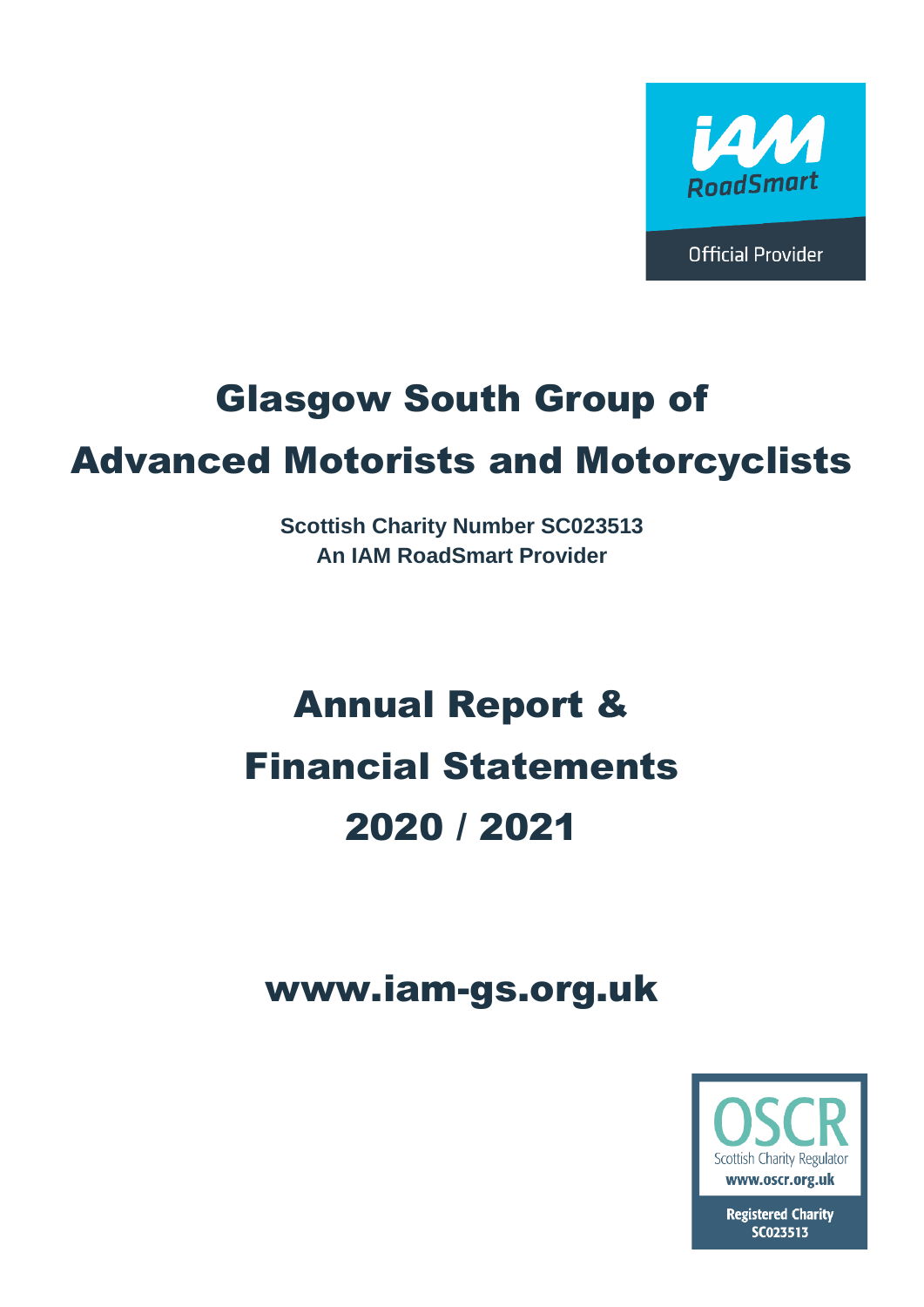

**Official Provider** 

# Glasgow South Group of

# Advanced Motorists and Motorcyclists

**Scottish Charity Number SC023513 An IAM RoadSmart Provider**

# Annual Report & Financial Statements 2020 / 2021

# www.iam-gs.org.uk



**Registered Charity** SC023513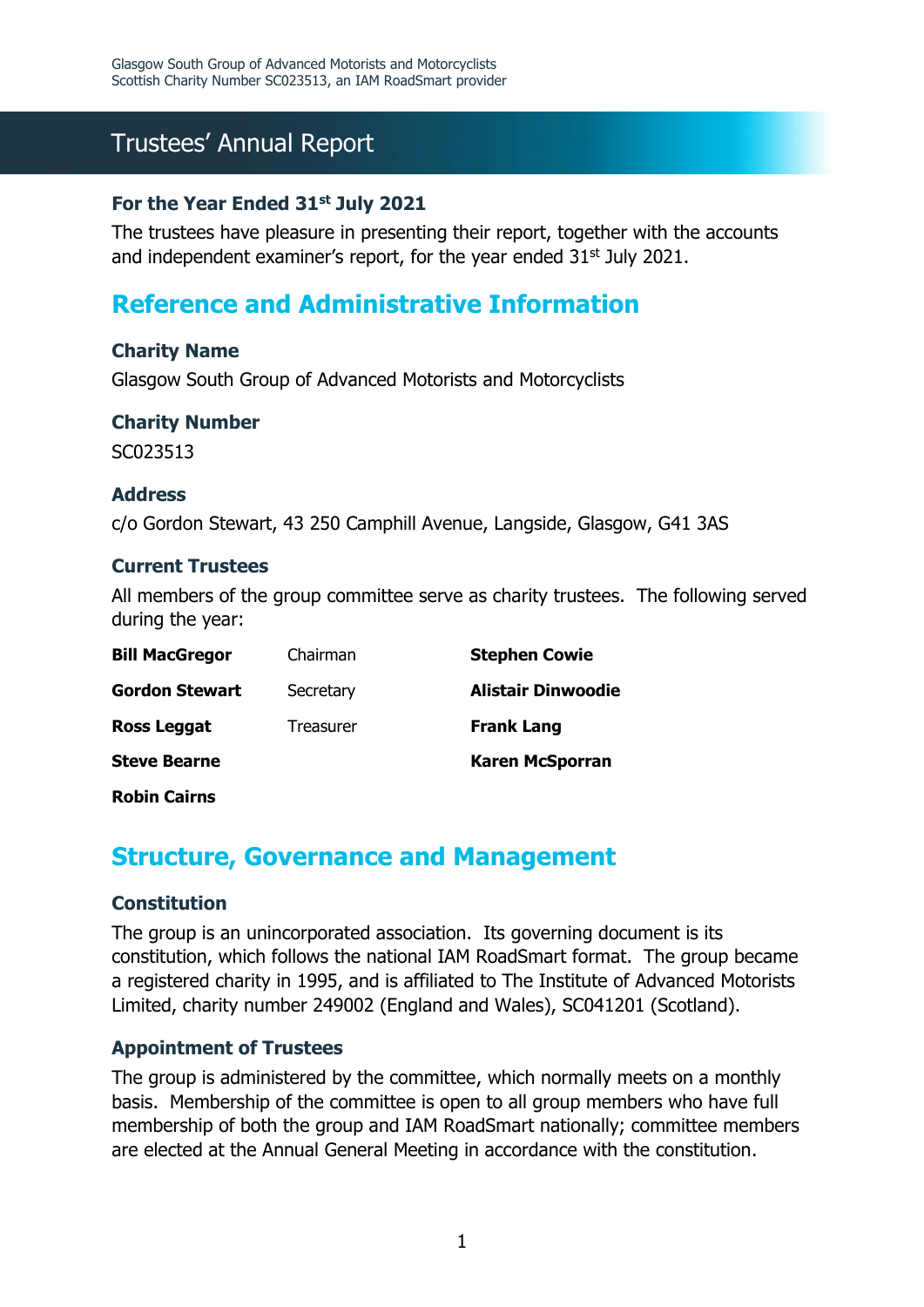# Trustees' Annual Report

### **For the Year Ended 31st July 2021**

The trustees have pleasure in presenting their report, together with the accounts and independent examiner's report, for the year ended  $31<sup>st</sup>$  July 2021.

### **Reference and Administrative Information**

### **Charity Name**

Glasgow South Group of Advanced Motorists and Motorcyclists

### **Charity Number**

SC023513

### **Address**

c/o Gordon Stewart, 43 250 Camphill Avenue, Langside, Glasgow, G41 3AS

### **Current Trustees**

All members of the group committee serve as charity trustees. The following served during the year:

| <b>Bill MacGregor</b> | Chairman  | <b>Stephen Cowie</b>      |
|-----------------------|-----------|---------------------------|
| <b>Gordon Stewart</b> | Secretary | <b>Alistair Dinwoodie</b> |
| <b>Ross Leggat</b>    | Treasurer | <b>Frank Lang</b>         |
| <b>Steve Bearne</b>   |           | <b>Karen McSporran</b>    |
|                       |           |                           |

**Robin Cairns**

### **Structure, Governance and Management**

### **Constitution**

The group is an unincorporated association. Its governing document is its constitution, which follows the national IAM RoadSmart format. The group became a registered charity in 1995, and is affiliated to The Institute of Advanced Motorists Limited, charity number 249002 (England and Wales), SC041201 (Scotland).

### **Appointment of Trustees**

The group is administered by the committee, which normally meets on a monthly basis. Membership of the committee is open to all group members who have full membership of both the group and IAM RoadSmart nationally; committee members are elected at the Annual General Meeting in accordance with the constitution.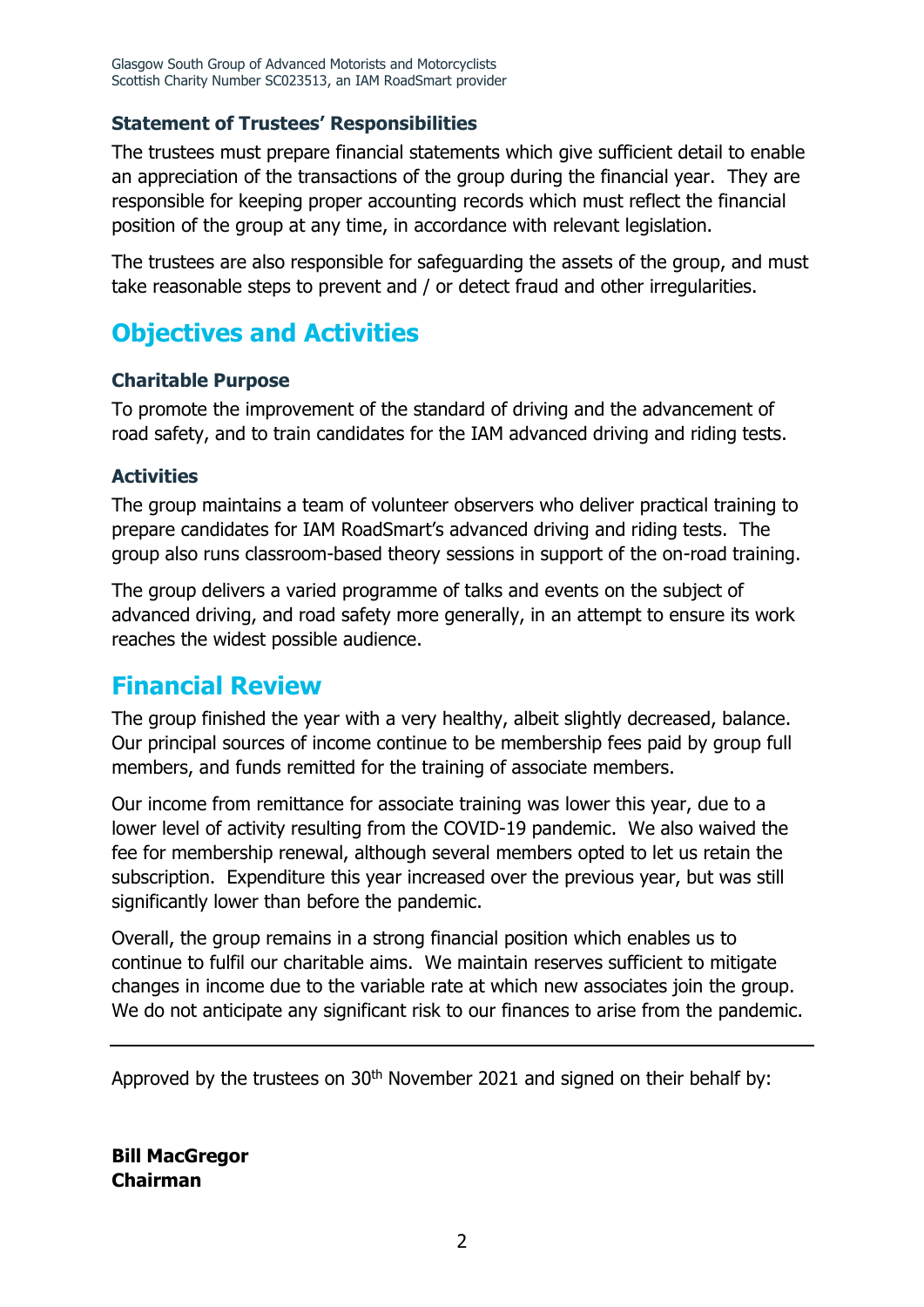### **Statement of Trustees' Responsibilities**

The trustees must prepare financial statements which give sufficient detail to enable an appreciation of the transactions of the group during the financial year. They are responsible for keeping proper accounting records which must reflect the financial position of the group at any time, in accordance with relevant legislation.

The trustees are also responsible for safeguarding the assets of the group, and must take reasonable steps to prevent and / or detect fraud and other irregularities.

### **Objectives and Activities**

### **Charitable Purpose**

To promote the improvement of the standard of driving and the advancement of road safety, and to train candidates for the IAM advanced driving and riding tests.

### **Activities**

The group maintains a team of volunteer observers who deliver practical training to prepare candidates for IAM RoadSmart's advanced driving and riding tests. The group also runs classroom-based theory sessions in support of the on-road training.

The group delivers a varied programme of talks and events on the subject of advanced driving, and road safety more generally, in an attempt to ensure its work reaches the widest possible audience.

### **Financial Review**

The group finished the year with a very healthy, albeit slightly decreased, balance. Our principal sources of income continue to be membership fees paid by group full members, and funds remitted for the training of associate members.

Our income from remittance for associate training was lower this year, due to a lower level of activity resulting from the COVID-19 pandemic. We also waived the fee for membership renewal, although several members opted to let us retain the subscription. Expenditure this year increased over the previous year, but was still significantly lower than before the pandemic.

Overall, the group remains in a strong financial position which enables us to continue to fulfil our charitable aims. We maintain reserves sufficient to mitigate changes in income due to the variable rate at which new associates join the group. We do not anticipate any significant risk to our finances to arise from the pandemic.

Approved by the trustees on 30<sup>th</sup> November 2021 and signed on their behalf by:

**Bill MacGregor Chairman**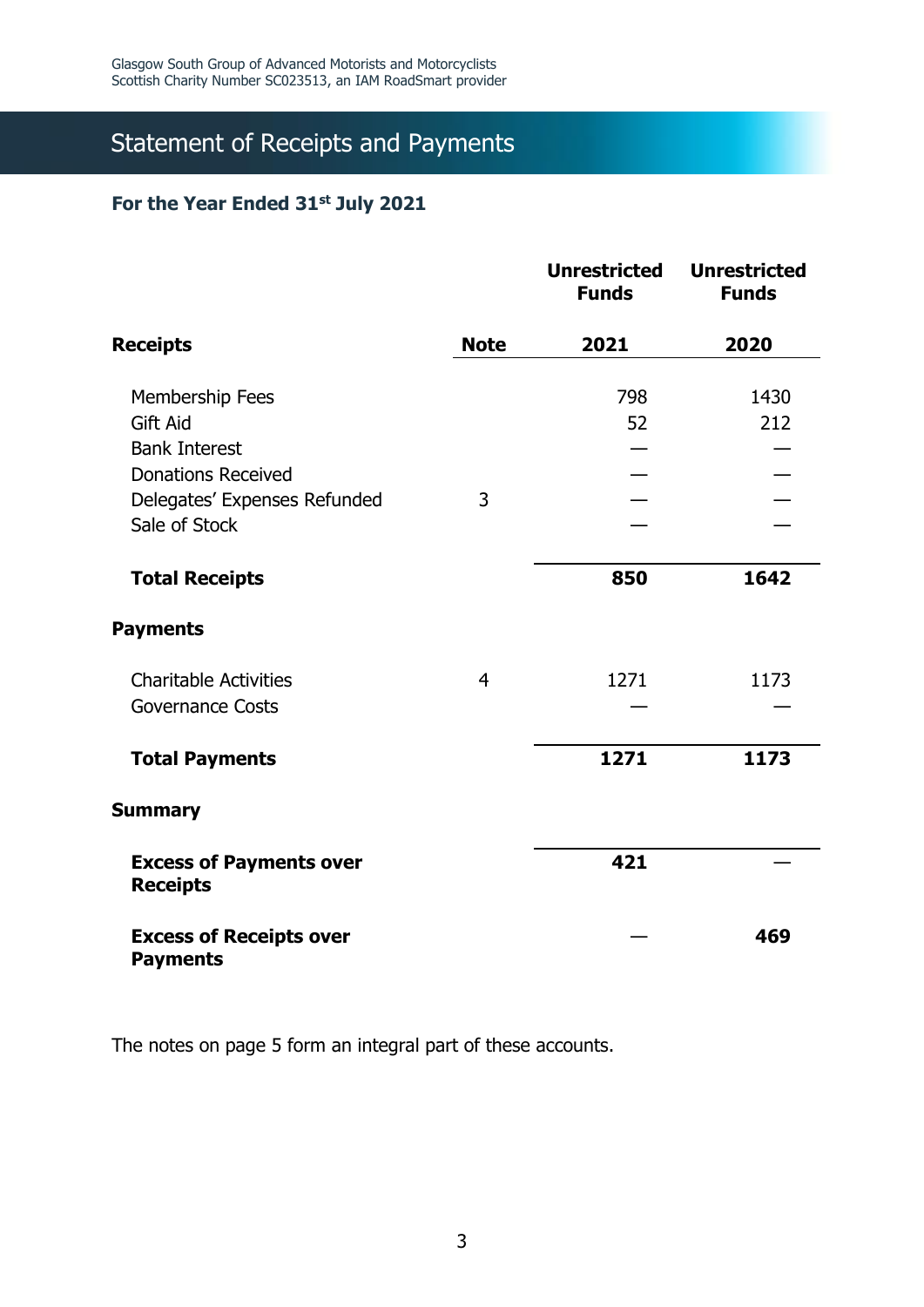# Statement of Receipts and Payments

### **For the Year Ended 31st July 2021**

|                                                   |                | <b>Unrestricted</b><br><b>Funds</b> | <b>Unrestricted</b><br><b>Funds</b> |
|---------------------------------------------------|----------------|-------------------------------------|-------------------------------------|
| <b>Receipts</b>                                   | <b>Note</b>    | 2021                                | 2020                                |
|                                                   |                | 798                                 | 1430                                |
| Membership Fees<br><b>Gift Aid</b>                |                | 52                                  | 212                                 |
| <b>Bank Interest</b>                              |                |                                     |                                     |
| <b>Donations Received</b>                         |                |                                     |                                     |
| Delegates' Expenses Refunded                      | 3              |                                     |                                     |
| Sale of Stock                                     |                |                                     |                                     |
|                                                   |                |                                     |                                     |
| <b>Total Receipts</b>                             |                | 850                                 | 1642                                |
| <b>Payments</b>                                   |                |                                     |                                     |
| <b>Charitable Activities</b>                      | $\overline{4}$ | 1271                                | 1173                                |
| <b>Governance Costs</b>                           |                |                                     |                                     |
| <b>Total Payments</b>                             |                | 1271                                | 1173                                |
| <b>Summary</b>                                    |                |                                     |                                     |
| <b>Excess of Payments over</b><br><b>Receipts</b> |                | 421                                 |                                     |
| <b>Excess of Receipts over</b><br><b>Payments</b> |                |                                     | 469                                 |

The notes on page 5 form an integral part of these accounts.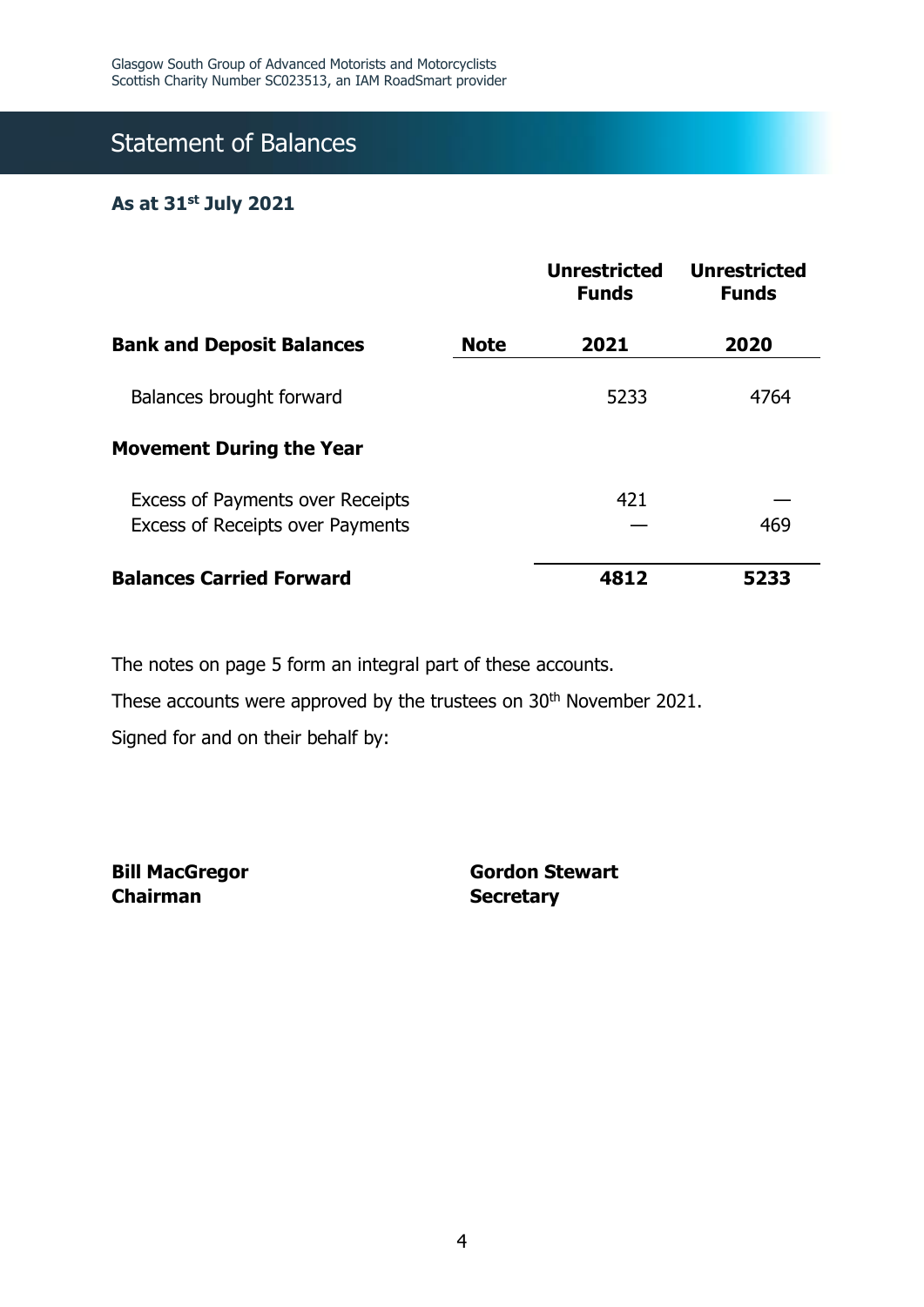# Statement of Balances

### **As at 31st July 2021**

|                                                                                    |             | <b>Unrestricted</b><br><b>Funds</b> | <b>Unrestricted</b><br><b>Funds</b> |
|------------------------------------------------------------------------------------|-------------|-------------------------------------|-------------------------------------|
| <b>Bank and Deposit Balances</b>                                                   | <b>Note</b> | 2021                                | 2020                                |
| Balances brought forward                                                           |             | 5233                                | 4764                                |
| <b>Movement During the Year</b>                                                    |             |                                     |                                     |
| <b>Excess of Payments over Receipts</b><br><b>Excess of Receipts over Payments</b> |             | 421                                 | 469                                 |
| <b>Balances Carried Forward</b>                                                    |             | 4812                                | 5233                                |

The notes on page 5 form an integral part of these accounts.

These accounts were approved by the trustees on 30<sup>th</sup> November 2021.

Signed for and on their behalf by:

**Bill MacGregor Chairman**

**Gordon Stewart Secretary**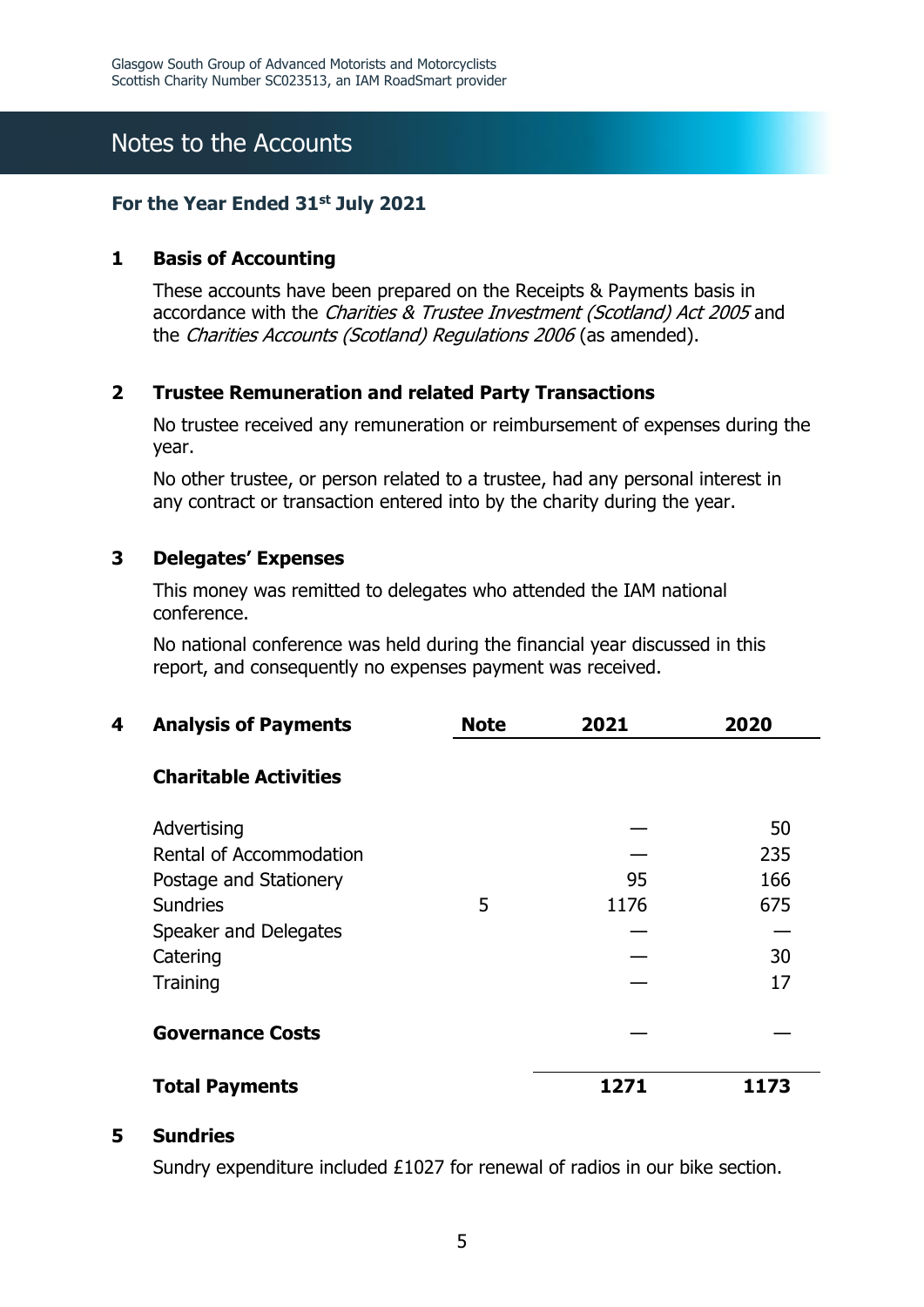## Notes to the Accounts

### **For the Year Ended 31st July 2021**

### **1 Basis of Accounting**

These accounts have been prepared on the Receipts & Payments basis in accordance with the Charities & Trustee Investment (Scotland) Act 2005 and the Charities Accounts (Scotland) Regulations 2006 (as amended).

### **2 Trustee Remuneration and related Party Transactions**

No trustee received any remuneration or reimbursement of expenses during the year.

No other trustee, or person related to a trustee, had any personal interest in any contract or transaction entered into by the charity during the year.

### **3 Delegates' Expenses**

This money was remitted to delegates who attended the IAM national conference.

No national conference was held during the financial year discussed in this report, and consequently no expenses payment was received.

| 4 | <b>Analysis of Payments</b>  | <b>Note</b> | 2021 | 2020 |
|---|------------------------------|-------------|------|------|
|   | <b>Charitable Activities</b> |             |      |      |
|   | Advertising                  |             |      | 50   |
|   | Rental of Accommodation      |             |      | 235  |
|   | Postage and Stationery       |             | 95   | 166  |
|   | <b>Sundries</b>              | 5           | 1176 | 675  |
|   | Speaker and Delegates        |             |      |      |
|   | Catering                     |             |      | 30   |
|   | Training                     |             |      | 17   |
|   | <b>Governance Costs</b>      |             |      |      |
|   | <b>Total Payments</b>        |             | 1271 | 1173 |

#### **5 Sundries**

Sundry expenditure included £1027 for renewal of radios in our bike section.